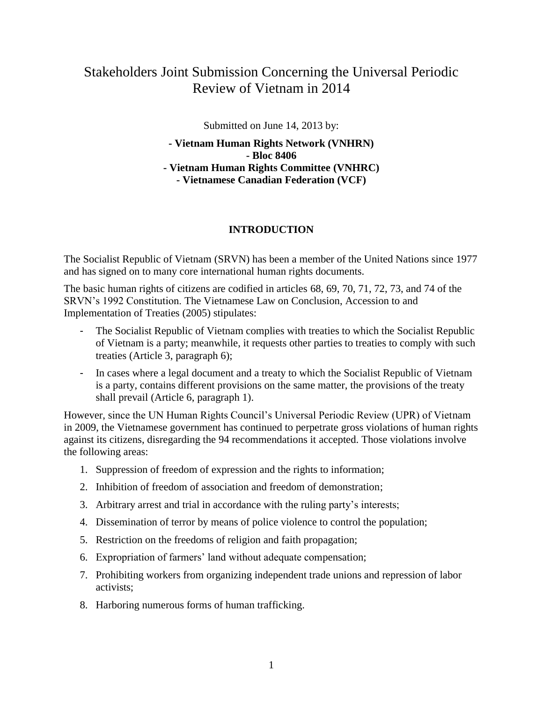# Stakeholders Joint Submission Concerning the Universal Periodic Review of Vietnam in 2014

Submitted on June 14, 2013 by:

**- Vietnam Human Rights Network (VNHRN) - Bloc 8406 - Vietnam Human Rights Committee (VNHRC) - Vietnamese Canadian Federation (VCF)**

### **INTRODUCTION**

The Socialist Republic of Vietnam (SRVN) has been a member of the United Nations since 1977 and has signed on to many core international human rights documents.

The basic human rights of citizens are codified in articles 68, 69, 70, 71, 72, 73, and 74 of the SRVN's 1992 Constitution. The Vietnamese Law on Conclusion, Accession to and Implementation of Treaties (2005) stipulates:

- The Socialist Republic of Vietnam complies with treaties to which the Socialist Republic of Vietnam is a party; meanwhile, it requests other parties to treaties to comply with such treaties (Article 3, paragraph 6);
- In cases where a legal document and a treaty to which the Socialist Republic of Vietnam is a party, contains different provisions on the same matter, the provisions of the treaty shall prevail (Article 6, paragraph 1).

However, since the UN Human Rights Council's Universal Periodic Review (UPR) of Vietnam in 2009, the Vietnamese government has continued to perpetrate gross violations of human rights against its citizens, disregarding the 94 recommendations it accepted. Those violations involve the following areas:

- 1. Suppression of freedom of expression and the rights to information;
- 2. Inhibition of freedom of association and freedom of demonstration;
- 3. Arbitrary arrest and trial in accordance with the ruling party's interests;
- 4. Dissemination of terror by means of police violence to control the population;
- 5. Restriction on the freedoms of religion and faith propagation;
- 6. Expropriation of farmers' land without adequate compensation;
- 7. Prohibiting workers from organizing independent trade unions and repression of labor activists;
- 8. Harboring numerous forms of human trafficking.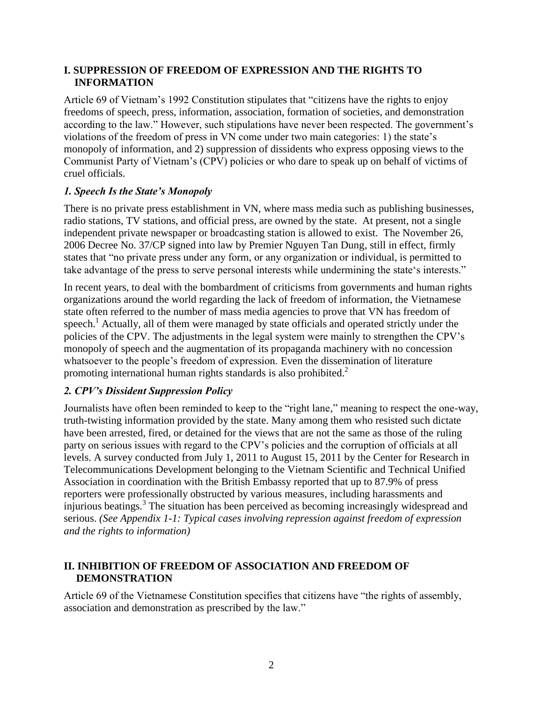### **I. SUPPRESSION OF FREEDOM OF EXPRESSION AND THE RIGHTS TO INFORMATION**

Article 69 of Vietnam's 1992 Constitution stipulates that "citizens have the rights to enjoy freedoms of speech, press, information, association, formation of societies, and demonstration according to the law." However, such stipulations have never been respected. The government's violations of the freedom of press in VN come under two main categories: 1) the state's monopoly of information, and 2) suppression of dissidents who express opposing views to the Communist Party of Vietnam's (CPV) policies or who dare to speak up on behalf of victims of cruel officials.

#### *1. Speech Is the State's Monopoly*

There is no private press establishment in VN, where mass media such as publishing businesses, radio stations, TV stations, and official press, are owned by the state. At present, not a single independent private newspaper or broadcasting station is allowed to exist. The November 26, 2006 Decree No. 37/CP signed into law by Premier Nguyen Tan Dung, still in effect, firmly states that "no private press under any form, or any organization or individual, is permitted to take advantage of the press to serve personal interests while undermining the state's interests."

In recent years, to deal with the bombardment of criticisms from governments and human rights organizations around the world regarding the lack of freedom of information, the Vietnamese state often referred to the number of mass media agencies to prove that VN has freedom of speech.<sup>1</sup> Actually, all of them were managed by state officials and operated strictly under the policies of the CPV. The adjustments in the legal system were mainly to strengthen the CPV's monopoly of speech and the augmentation of its propaganda machinery with no concession whatsoever to the people's freedom of expression. Even the dissemination of literature promoting international human rights standards is also prohibited.<sup>2</sup>

### *2. CPV's Dissident Suppression Policy*

Journalists have often been reminded to keep to the "right lane," meaning to respect the one-way, truth-twisting information provided by the state. Many among them who resisted such dictate have been arrested, fired, or detained for the views that are not the same as those of the ruling party on serious issues with regard to the CPV's policies and the corruption of officials at all levels. A survey conducted from July 1, 2011 to August 15, 2011 by the Center for Research in Telecommunications Development belonging to the Vietnam Scientific and Technical Unified Association in coordination with the British Embassy reported that up to 87.9% of press reporters were professionally obstructed by various measures, including harassments and injurious beatings.<sup>3</sup> The situation has been perceived as becoming increasingly widespread and serious. *(See Appendix 1-1: Typical cases involving repression against freedom of expression and the rights to information)*

### **II. INHIBITION OF FREEDOM OF ASSOCIATION AND FREEDOM OF DEMONSTRATION**

Article 69 of the Vietnamese Constitution specifies that citizens have "the rights of assembly, association and demonstration as prescribed by the law."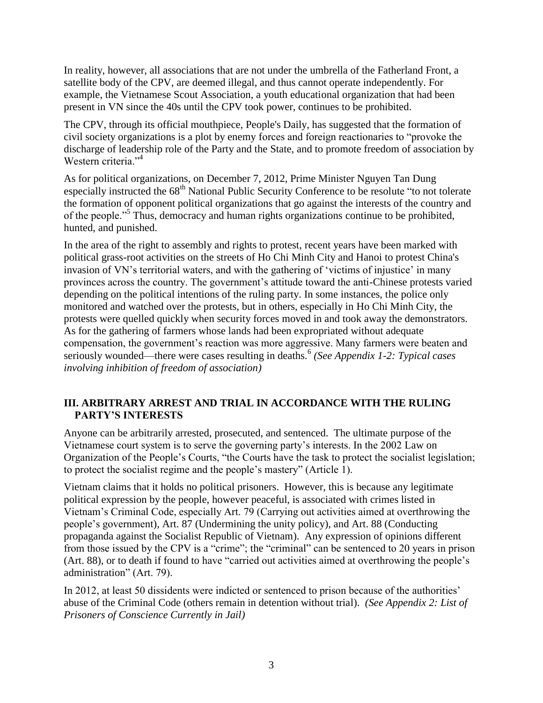In reality, however, all associations that are not under the umbrella of the Fatherland Front, a satellite body of the CPV, are deemed illegal, and thus cannot operate independently. For example, the Vietnamese Scout Association, a youth educational organization that had been present in VN since the 40s until the CPV took power, continues to be prohibited.

The CPV, through its official mouthpiece, People's Daily, has suggested that the formation of civil society organizations is a plot by enemy forces and foreign reactionaries to "provoke the discharge of leadership role of the Party and the State, and to promote freedom of association by Western criteria."<sup>4</sup>

As for political organizations, on December 7, 2012, Prime Minister Nguyen Tan Dung especially instructed the 68<sup>th</sup> National Public Security Conference to be resolute "to not tolerate the formation of opponent political organizations that go against the interests of the country and of the people."<sup>5</sup> Thus, democracy and human rights organizations continue to be prohibited, hunted, and punished.

In the area of the right to assembly and rights to protest, recent years have been marked with political grass-root activities on the streets of Ho Chi Minh City and Hanoi to protest China's invasion of VN's territorial waters, and with the gathering of 'victims of injustice' in many provinces across the country. The government's attitude toward the anti-Chinese protests varied depending on the political intentions of the ruling party. In some instances, the police only monitored and watched over the protests, but in others, especially in Ho Chi Minh City, the protests were quelled quickly when security forces moved in and took away the demonstrators. As for the gathering of farmers whose lands had been expropriated without adequate compensation, the government's reaction was more aggressive. Many farmers were beaten and seriously wounded—there were cases resulting in deaths.<sup>6</sup> (See Appendix 1-2: Typical cases *involving inhibition of freedom of association)*

### **III. ARBITRARY ARREST AND TRIAL IN ACCORDANCE WITH THE RULING PARTY'S INTERESTS**

Anyone can be arbitrarily arrested, prosecuted, and sentenced. The ultimate purpose of the Vietnamese court system is to serve the governing party's interests. In the 2002 Law on Organization of the People's Courts, "the Courts have the task to protect the socialist legislation; to protect the socialist regime and the people's mastery" (Article 1).

Vietnam claims that it holds no political prisoners. However, this is because any legitimate political expression by the people, however peaceful, is associated with crimes listed in Vietnam's Criminal Code, especially Art. 79 (Carrying out activities aimed at overthrowing the people's government), Art. 87 (Undermining the unity policy), and Art. 88 (Conducting propaganda against the Socialist Republic of Vietnam).Any expression of opinions different from those issued by the CPV is a "crime"; the "criminal" can be sentenced to 20 years in prison (Art. 88), or to death if found to have "carried out activities aimed at overthrowing the people's administration" (Art. 79).

In 2012, at least 50 dissidents were indicted or sentenced to prison because of the authorities' abuse of the Criminal Code (others remain in detention without trial). *(See Appendix 2: List of Prisoners of Conscience Currently in Jail)*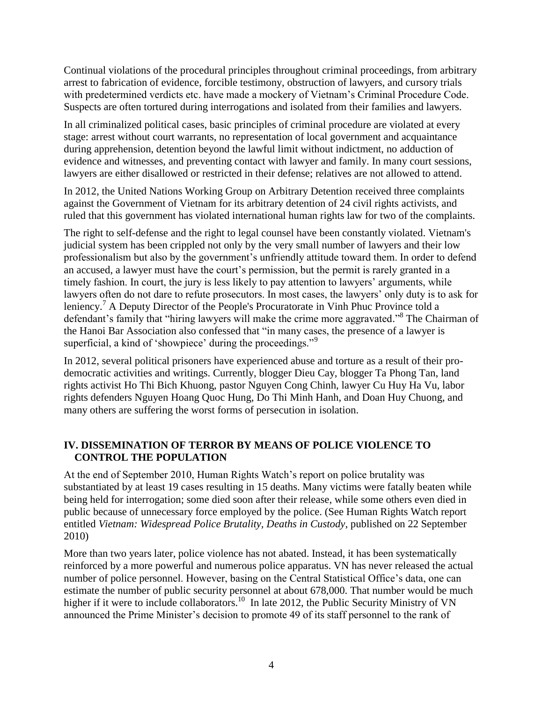Continual violations of the procedural principles throughout criminal proceedings, from arbitrary arrest to fabrication of evidence, forcible testimony, obstruction of lawyers, and cursory trials with predetermined verdicts etc. have made a mockery of Vietnam's Criminal Procedure Code. Suspects are often tortured during interrogations and isolated from their families and lawyers.

In all criminalized political cases, basic principles of criminal procedure are violated at every stage: arrest without court warrants, no representation of local government and acquaintance during apprehension, detention beyond the lawful limit without indictment, no adduction of evidence and witnesses, and preventing contact with lawyer and family. In many court sessions, lawyers are either disallowed or restricted in their defense; relatives are not allowed to attend.

In 2012, the United Nations Working Group on Arbitrary Detention received three complaints against the Government of Vietnam for its arbitrary detention of 24 civil rights activists, and ruled that this government has violated international human rights law for two of the complaints.

The right to self-defense and the right to legal counsel have been constantly violated. Vietnam's judicial system has been crippled not only by the very small number of lawyers and their low professionalism but also by the government's unfriendly attitude toward them. In order to defend an accused, a lawyer must have the court's permission, but the permit is rarely granted in a timely fashion. In court, the jury is less likely to pay attention to lawyers' arguments, while lawyers often do not dare to refute prosecutors. In most cases, the lawyers' only duty is to ask for leniency.<sup>7</sup> A Deputy Director of the People's Procuratorate in Vinh Phuc Province told a defendant's family that "hiring lawyers will make the crime more aggravated."<sup>8</sup> The Chairman of the Hanoi Bar Association also confessed that "in many cases, the presence of a lawyer is superficial, a kind of 'showpiece' during the proceedings."<sup>9</sup>

In 2012, several political prisoners have experienced abuse and torture as a result of their prodemocratic activities and writings. Currently, blogger Dieu Cay, blogger Ta Phong Tan, land rights activist Ho Thi Bich Khuong, pastor Nguyen Cong Chinh, lawyer Cu Huy Ha Vu, labor rights defenders Nguyen Hoang Quoc Hung, Do Thi Minh Hanh, and Doan Huy Chuong, and many others are suffering the worst forms of persecution in isolation.

### **IV. DISSEMINATION OF TERROR BY MEANS OF POLICE VIOLENCE TO CONTROL THE POPULATION**

At the end of September 2010, Human Rights Watch's report on police brutality was substantiated by at least 19 cases resulting in 15 deaths. Many victims were fatally beaten while being held for interrogation; some died soon after their release, while some others even died in public because of unnecessary force employed by the police. (See Human Rights Watch report entitled *Vietnam: Widespread Police Brutality, Deaths in Custody*, published on 22 September 2010)

More than two years later, police violence has not abated. Instead, it has been systematically reinforced by a more powerful and numerous police apparatus. VN has never released the actual number of police personnel. However, basing on the Central Statistical Office's data, one can estimate the number of public security personnel at about 678,000. That number would be much higher if it were to include collaborators.<sup>10</sup> In late 2012, the Public Security Ministry of VN announced the Prime Minister's decision to promote 49 of its staff personnel to the rank of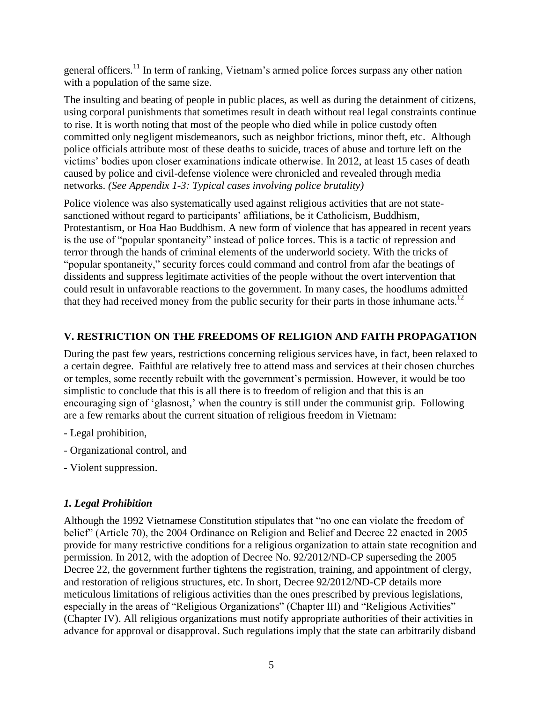general officers.<sup>11</sup> In term of ranking, Vietnam's armed police forces surpass any other nation with a population of the same size.

The insulting and beating of people in public places, as well as during the detainment of citizens, using corporal punishments that sometimes result in death without real legal constraints continue to rise. It is worth noting that most of the people who died while in police custody often committed only negligent misdemeanors, such as neighbor frictions, minor theft, etc. Although police officials attribute most of these deaths to suicide, traces of abuse and torture left on the victims' bodies upon closer examinations indicate otherwise. In 2012, at least 15 cases of death caused by police and civil-defense violence were chronicled and revealed through media networks. *(See Appendix 1-3: Typical cases involving police brutality)*

Police violence was also systematically used against religious activities that are not statesanctioned without regard to participants' affiliations, be it Catholicism, Buddhism, Protestantism, or Hoa Hao Buddhism. A new form of violence that has appeared in recent years is the use of "popular spontaneity" instead of police forces. This is a tactic of repression and terror through the hands of criminal elements of the underworld society. With the tricks of "popular spontaneity," security forces could command and control from afar the beatings of dissidents and suppress legitimate activities of the people without the overt intervention that could result in unfavorable reactions to the government. In many cases, the hoodlums admitted that they had received money from the public security for their parts in those inhumane acts.<sup>12</sup>

# **V. RESTRICTION ON THE FREEDOMS OF RELIGION AND FAITH PROPAGATION**

During the past few years, restrictions concerning religious services have, in fact, been relaxed to a certain degree. Faithful are relatively free to attend mass and services at their chosen churches or temples, some recently rebuilt with the government's permission. However, it would be too simplistic to conclude that this is all there is to freedom of religion and that this is an encouraging sign of 'glasnost,' when the country is still under the communist grip. Following are a few remarks about the current situation of religious freedom in Vietnam:

- Legal prohibition,
- Organizational control, and
- Violent suppression.

## *1. Legal Prohibition*

Although the 1992 Vietnamese Constitution stipulates that "no one can violate the freedom of belief" (Article 70), the 2004 Ordinance on Religion and Belief and Decree 22 enacted in 2005 provide for many restrictive conditions for a religious organization to attain state recognition and permission. In 2012, with the adoption of Decree No. 92/2012/ND-CP superseding the 2005 Decree 22, the government further tightens the registration, training, and appointment of clergy, and restoration of religious structures, etc. In short, Decree 92/2012/ND-CP details more meticulous limitations of religious activities than the ones prescribed by previous legislations, especially in the areas of "Religious Organizations" (Chapter III) and "Religious Activities" (Chapter IV). All religious organizations must notify appropriate authorities of their activities in advance for approval or disapproval. Such regulations imply that the state can arbitrarily disband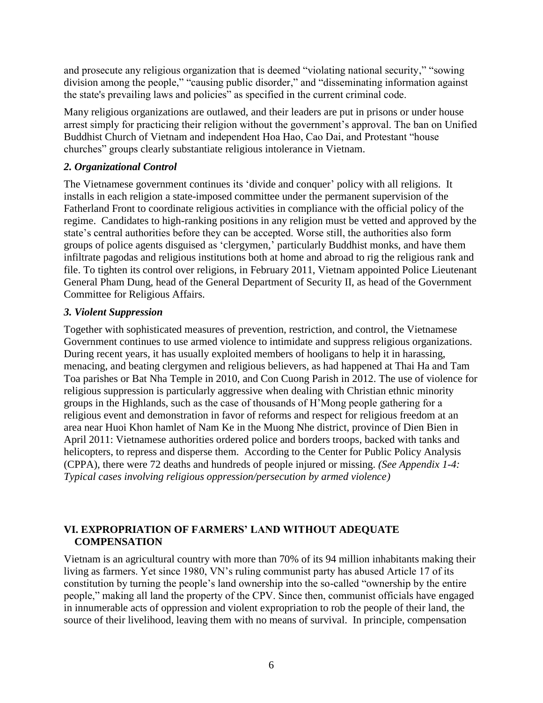and prosecute any religious organization that is deemed "violating national security," "sowing division among the people," "causing public disorder," and "disseminating information against the state's prevailing laws and policies" as specified in the current criminal code.

Many religious organizations are outlawed, and their leaders are put in prisons or under house arrest simply for practicing their religion without the government's approval. The ban on Unified Buddhist Church of Vietnam and independent Hoa Hao, Cao Dai, and Protestant "house churches" groups clearly substantiate religious intolerance in Vietnam.

### *2. Organizational Control*

The Vietnamese government continues its 'divide and conquer' policy with all religions. It installs in each religion a state-imposed committee under the permanent supervision of the Fatherland Front to coordinate religious activities in compliance with the official policy of the regime. Candidates to high-ranking positions in any religion must be vetted and approved by the state's central authorities before they can be accepted. Worse still, the authorities also form groups of police agents disguised as 'clergymen,' particularly Buddhist monks, and have them infiltrate pagodas and religious institutions both at home and abroad to rig the religious rank and file. To tighten its control over religions, in February 2011, Vietnam appointed Police Lieutenant General Pham Dung, head of the General Department of Security II, as head of the Government Committee for Religious Affairs.

### *3. Violent Suppression*

Together with sophisticated measures of prevention, restriction, and control, the Vietnamese Government continues to use armed violence to intimidate and suppress religious organizations. During recent years, it has usually exploited members of hooligans to help it in harassing, menacing, and beating clergymen and religious believers, as had happened at Thai Ha and Tam Toa parishes or Bat Nha Temple in 2010, and Con Cuong Parish in 2012. The use of violence for religious suppression is particularly aggressive when dealing with Christian ethnic minority groups in the Highlands, such as the case of thousands of H'Mong people gathering for a religious event and demonstration in favor of reforms and respect for religious freedom at an area near Huoi Khon hamlet of Nam Ke in the Muong Nhe district, province of Dien Bien in April 2011: Vietnamese authorities ordered police and borders troops, backed with tanks and helicopters, to repress and disperse them. According to the Center for Public Policy Analysis (CPPA), there were 72 deaths and hundreds of people injured or missing. *(See Appendix 1-4: Typical cases involving religious oppression/persecution by armed violence)*

### **VI. EXPROPRIATION OF FARMERS' LAND WITHOUT ADEQUATE COMPENSATION**

Vietnam is an agricultural country with more than 70% of its 94 million inhabitants making their living as farmers. Yet since 1980, VN's ruling communist party has abused Article 17 of its constitution by turning the people's land ownership into the so-called "ownership by the entire people," making all land the property of the CPV. Since then, communist officials have engaged in innumerable acts of oppression and violent expropriation to rob the people of their land, the source of their livelihood, leaving them with no means of survival. In principle, compensation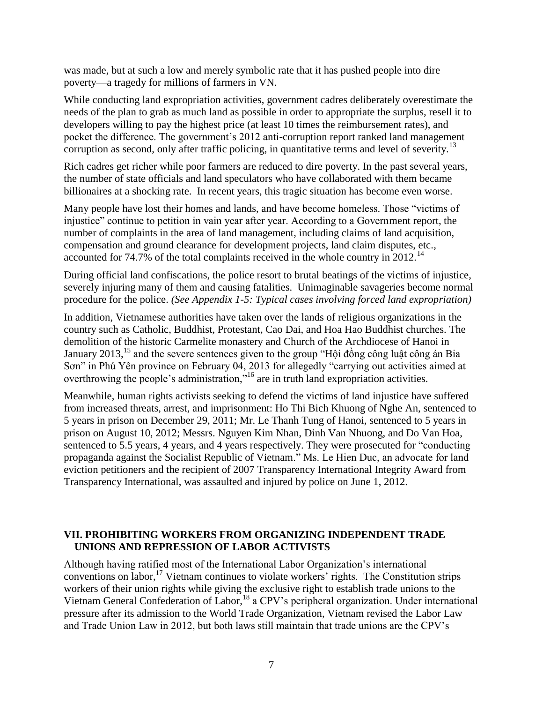was made, but at such a low and merely symbolic rate that it has pushed people into dire poverty—a tragedy for millions of farmers in VN.

While conducting land expropriation activities, government cadres deliberately overestimate the needs of the plan to grab as much land as possible in order to appropriate the surplus, resell it to developers willing to pay the highest price (at least 10 times the reimbursement rates), and pocket the difference. The government's 2012 anti-corruption report ranked land management corruption as second, only after traffic policing, in quantitative terms and level of severity.<sup>13</sup>

Rich cadres get richer while poor farmers are reduced to dire poverty. In the past several years, the number of state officials and land speculators who have collaborated with them became billionaires at a shocking rate. In recent years, this tragic situation has become even worse.

Many people have lost their homes and lands, and have become homeless. Those "victims of injustice" continue to petition in vain year after year. According to a Government report, the number of complaints in the area of land management, including claims of land acquisition, compensation and ground clearance for development projects, land claim disputes, etc., accounted for 74.7% of the total complaints received in the whole country in 2012.<sup>14</sup>

During official land confiscations, the police resort to brutal beatings of the victims of injustice, severely injuring many of them and causing fatalities. Unimaginable savageries become normal procedure for the police. *(See Appendix 1-5: Typical cases involving forced land expropriation)*

In addition, Vietnamese authorities have taken over the lands of religious organizations in the country such as Catholic, Buddhist, Protestant, Cao Dai, and Hoa Hao Buddhist churches. The demolition of the historic Carmelite monastery and Church of the Archdiocese of Hanoi in January 2013,<sup>15</sup> and the severe sentences given to the group "Hội đồng công luật công án Bia Sơn" in Phú Yên province on February 04, 2013 for allegedly "carrying out activities aimed at overthrowing the people's administration," <sup>16</sup> are in truth land expropriation activities.

Meanwhile, human rights activists seeking to defend the victims of land injustice have suffered from increased threats, arrest, and imprisonment: Ho Thi Bich Khuong of Nghe An, sentenced to 5 years in prison on December 29, 2011; Mr. Le Thanh Tung of Hanoi, sentenced to 5 years in prison on August 10, 2012; Messrs. Nguyen Kim Nhan, Dinh Van Nhuong, and Do Van Hoa, sentenced to 5.5 years, 4 years, and 4 years respectively. They were prosecuted for "conducting propaganda against the Socialist Republic of Vietnam." Ms. Le Hien Duc, an advocate for land eviction petitioners and the recipient of 2007 Transparency International Integrity Award from Transparency International, was assaulted and injured by police on June 1, 2012.

### **VII. PROHIBITING WORKERS FROM ORGANIZING INDEPENDENT TRADE UNIONS AND REPRESSION OF LABOR ACTIVISTS**

Although having ratified most of the International Labor Organization's international conventions on labor,<sup>17</sup> Vietnam continues to violate workers' rights. The Constitution strips workers of their union rights while giving the exclusive right to establish trade unions to the Vietnam General Confederation of Labor,<sup>18</sup> a CPV's peripheral organization. Under international pressure after its admission to the World Trade Organization, Vietnam revised the Labor Law and Trade Union Law in 2012, but both laws still maintain that trade unions are the CPV's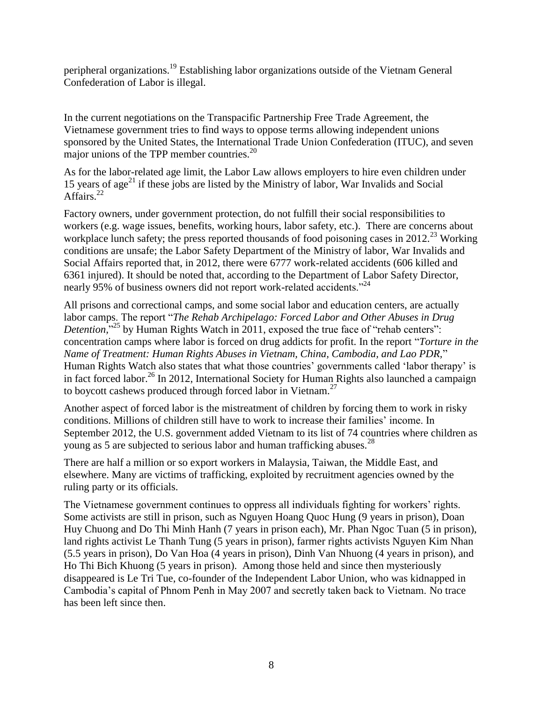peripheral organizations.<sup>19</sup> Establishing labor organizations outside of the Vietnam General Confederation of Labor is illegal.

In the current negotiations on the Transpacific Partnership Free Trade Agreement, the Vietnamese government tries to find ways to oppose terms allowing independent unions sponsored by the United States, the International Trade Union Confederation (ITUC), and seven major unions of the TPP member countries.<sup>20</sup>

As for the labor-related age limit, the Labor Law allows employers to hire even children under 15 years of age<sup>21</sup> if these jobs are listed by the Ministry of labor, War Invalids and Social Affairs.<sup>22</sup>

Factory owners, under government protection, do not fulfill their social responsibilities to workers (e.g. wage issues, benefits, working hours, labor safety, etc.). There are concerns about workplace lunch safety; the press reported thousands of food poisoning cases in  $2012<sup>23</sup>$  Working conditions are unsafe; the Labor Safety Department of the Ministry of labor, War Invalids and Social Affairs reported that, in 2012, there were 6777 work-related accidents (606 killed and 6361 injured). It should be noted that, according to the Department of Labor Safety Director, nearly 95% of business owners did not report work-related accidents.<sup>224</sup>

All prisons and correctional camps, and some social labor and education centers, are actually labor camps. The report "*The Rehab Archipelago: Forced Labor and Other Abuses in Drug*  Detention,<sup>"25</sup> by Human Rights Watch in 2011, exposed the true face of "rehab centers": concentration camps where labor is forced on drug addicts for profit. In the report "*Torture in the Name of Treatment: Human Rights Abuses in Vietnam, China, Cambodia, and Lao PDR,*" Human Rights Watch also states that what those countries' governments called 'labor therapy' is in fact forced labor.<sup>26</sup> In 2012, International Society for Human Rights also launched a campaign to boycott cashews produced through forced labor in Vietnam.<sup>27</sup>

Another aspect of forced labor is the mistreatment of children by forcing them to work in risky conditions. Millions of children still have to work to increase their families' income. In September 2012, the U.S. government added Vietnam to its list of 74 countries where children as young as 5 are subjected to serious labor and human trafficking abuses.<sup>28</sup>

There are half a million or so export workers in Malaysia, Taiwan, the Middle East, and elsewhere. Many are victims of trafficking, exploited by recruitment agencies owned by the ruling party or its officials.

The Vietnamese government continues to oppress all individuals fighting for workers' rights. Some activists are still in prison, such as Nguyen Hoang Quoc Hung (9 years in prison), Doan Huy Chuong and Do Thi Minh Hanh (7 years in prison each), Mr. Phan Ngoc Tuan (5 in prison), land rights activist Le Thanh Tung (5 years in prison), farmer rights activists Nguyen Kim Nhan (5.5 years in prison), Do Van Hoa (4 years in prison), Dinh Van Nhuong (4 years in prison), and Ho Thi Bich Khuong (5 years in prison). Among those held and since then mysteriously disappeared is Le Tri Tue, co-founder of the Independent Labor Union, who was kidnapped in Cambodia's capital of Phnom Penh in May 2007 and secretly taken back to Vietnam. No trace has been left since then.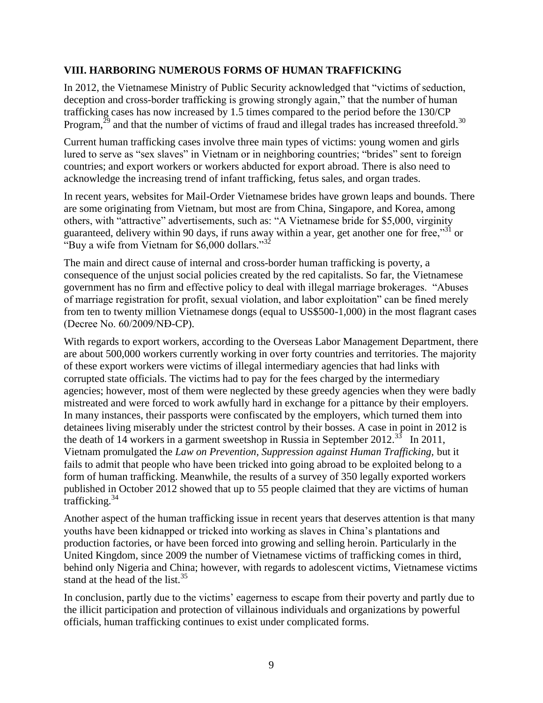### **VIII. HARBORING NUMEROUS FORMS OF HUMAN TRAFFICKING**

In 2012, the Vietnamese Ministry of Public Security acknowledged that "victims of seduction, deception and cross-border trafficking is growing strongly again," that the number of human trafficking cases has now increased by 1.5 times compared to the period before the 130/CP Program, $^{29}$  and that the number of victims of fraud and illegal trades has increased threefold.<sup>30</sup>

Current human trafficking cases involve three main types of victims: young women and girls lured to serve as "sex slaves" in Vietnam or in neighboring countries; "brides" sent to foreign countries; and export workers or workers abducted for export abroad. There is also need to acknowledge the increasing trend of infant trafficking, fetus sales, and organ trades.

In recent years, websites for Mail-Order Vietnamese brides have grown leaps and bounds. There are some originating from Vietnam, but most are from China, Singapore, and Korea, among others, with "attractive" advertisements, such as: "A Vietnamese bride for \$5,000, virginity guaranteed, delivery within 90 days, if runs away within a year, get another one for free,<sup>331</sup> or "Buy a wife from Vietnam for \$6,000 dollars."<sup>32</sup>

The main and direct cause of internal and cross*-*border human trafficking is poverty, a consequence of the unjust social policies created by the red capitalists. So far, the Vietnamese government has no firm and effective policy to deal with illegal marriage brokerages. "Abuses of marriage registration for profit, sexual violation, and labor exploitation" can be fined merely from ten to twenty million Vietnamese dongs (equal to US\$500-1,000) in the most flagrant cases (Decree No. 60/2009/NĐ-CP).

With regards to export workers, according to the Overseas Labor Management Department, there are about 500,000 workers currently working in over forty countries and territories. The majority of these export workers were victims of illegal intermediary agencies that had links with corrupted state officials. The victims had to pay for the fees charged by the intermediary agencies; however, most of them were neglected by these greedy agencies when they were badly mistreated and were forced to work awfully hard in exchange for a pittance by their employers. In many instances, their passports were confiscated by the employers, which turned them into detainees living miserably under the strictest control by their bosses. A case in point in 2012 is the death of 14 workers in a garment sweetshop in Russia in September 2012.<sup>33</sup> In 2011, Vietnam promulgated the *Law on Prevention, Suppression against Human Trafficking,* but it fails to admit that people who have been tricked into going abroad to be exploited belong to a form of human trafficking. Meanwhile, the results of a survey of 350 legally exported workers published in October 2012 showed that up to 55 people claimed that they are victims of human trafficking. $34$ 

Another aspect of the human trafficking issue in recent years that deserves attention is that many youths have been kidnapped or tricked into working as slaves in China's plantations and production factories, or have been forced into growing and selling heroin. Particularly in the United Kingdom, since 2009 the number of Vietnamese victims of trafficking comes in third, behind only Nigeria and China; however, with regards to adolescent victims, Vietnamese victims stand at the head of the list.<sup>35</sup>

In conclusion, partly due to the victims' eagerness to escape from their poverty and partly due to the illicit participation and protection of villainous individuals and organizations by powerful officials, human trafficking continues to exist under complicated forms.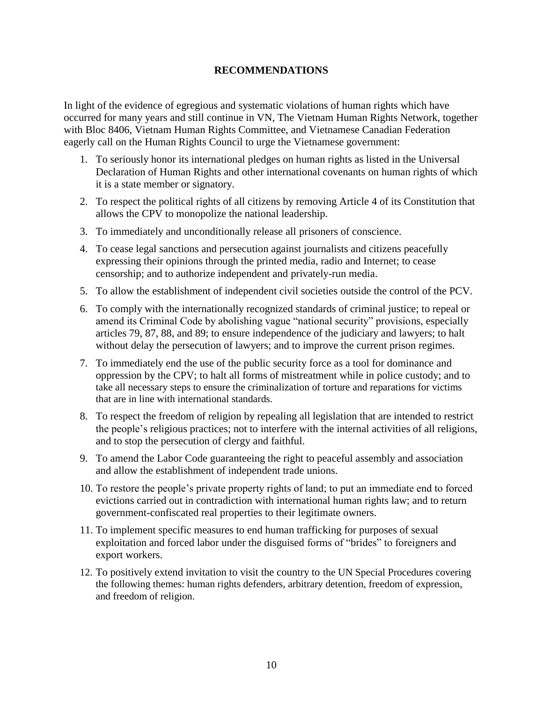#### **RECOMMENDATIONS**

In light of the evidence of egregious and systematic violations of human rights which have occurred for many years and still continue in VN, The Vietnam Human Rights Network, together with Bloc 8406, Vietnam Human Rights Committee, and Vietnamese Canadian Federation eagerly call on the Human Rights Council to urge the Vietnamese government:

- 1. To seriously honor its international pledges on human rights as listed in the Universal Declaration of Human Rights and other international covenants on human rights of which it is a state member or signatory.
- 2. To respect the political rights of all citizens by removing Article 4 of its Constitution that allows the CPV to monopolize the national leadership.
- 3. To immediately and unconditionally release all prisoners of conscience.
- 4. To cease legal sanctions and persecution against journalists and citizens peacefully expressing their opinions through the printed media, radio and Internet; to cease censorship; and to authorize independent and privately-run media.
- 5. To allow the establishment of independent civil societies outside the control of the PCV.
- 6. To comply with the internationally recognized standards of criminal justice; to repeal or amend its Criminal Code by abolishing vague "national security" provisions, especially articles 79, 87, 88, and 89; to ensure independence of the judiciary and lawyers; to halt without delay the persecution of lawyers; and to improve the current prison regimes.
- 7. To immediately end the use of the public security force as a tool for dominance and oppression by the CPV; to halt all forms of mistreatment while in police custody; and to take all necessary steps to ensure the criminalization of torture and reparations for victims that are in line with international standards.
- 8. To respect the freedom of religion by repealing all legislation that are intended to restrict the people's religious practices; not to interfere with the internal activities of all religions, and to stop the persecution of clergy and faithful.
- 9. To amend the Labor Code guaranteeing the right to peaceful assembly and association and allow the establishment of independent trade unions.
- 10. To restore the people's private property rights of land; to put an immediate end to forced evictions carried out in contradiction with international human rights law; and to return government-confiscated real properties to their legitimate owners.
- 11. To implement specific measures to end human trafficking for purposes of sexual exploitation and forced labor under the disguised forms of "brides" to foreigners and export workers.
- 12. To positively extend invitation to visit the country to the UN Special Procedures covering the following themes: human rights defenders, arbitrary detention, freedom of expression, and freedom of religion.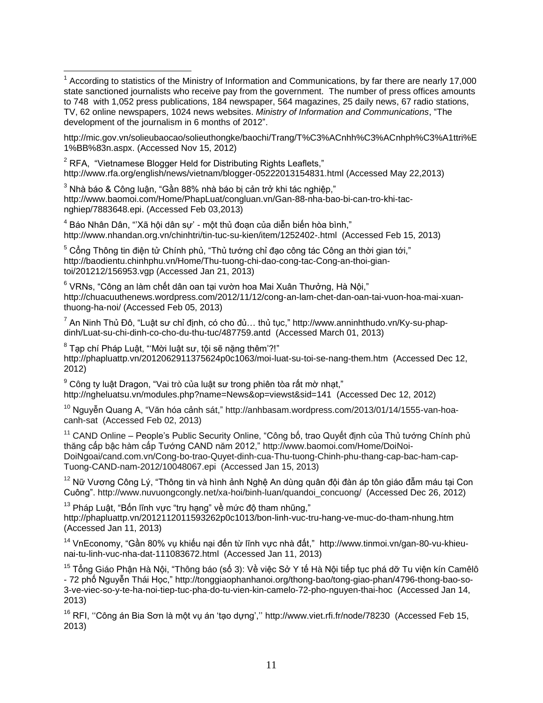[http://mic.gov.vn/solieubaocao/solieuthongke/baochi/Trang/T%C3%ACnhh%C3%ACnhph%C3%A1ttri%E](http://mic.gov.vn/solieubaocao/solieuthongke/baochi/Trang/T%C3%ACnhh%C3%ACnhph%C3%A1ttri%E1%BB%83n.aspx) [1%BB%83n.aspx.](http://mic.gov.vn/solieubaocao/solieuthongke/baochi/Trang/T%C3%ACnhh%C3%ACnhph%C3%A1ttri%E1%BB%83n.aspx) (Accessed Nov 15, 2012)

 $2$  RFA, "Vietnamese Blogger Held for Distributing Rights Leaflets," <http://www.rfa.org/english/news/vietnam/blogger-05222013154831.html> (Accessed May 22,2013)

 $3$  Nhà báo & Công luận, "Gần 88% nhà báo bị cản trở khi tác nghiệp," [http://www.baomoi.com/Home/PhapLuat/congluan.vn/Gan-88-nha-bao-bi-can-tro-khi-tac](http://www.baomoi.com/Home/PhapLuat/congluan.vn/Gan-88-nha-bao-bi-can-tro-khi-tac-nghiep/7883648.epi)[nghiep/7883648.epi.](http://www.baomoi.com/Home/PhapLuat/congluan.vn/Gan-88-nha-bao-bi-can-tro-khi-tac-nghiep/7883648.epi) (Accessed Feb 03,2013)

 $\overline{a}$ 

<sup>4</sup> Báo Nhân Dân, "'Xã hội dân sự' - một thủ đoạn của diễn biến hòa bình," <http://www.nhandan.org.vn/chinhtri/tin-tuc-su-kien/item/1252402-.html>(Accessed Feb 15, 2013)

 $5$  Cổng Thông tin điện tử Chính phủ, "Thủ tướng chỉ đạo công tác Công an thời gian tới," [http://baodientu.chinhphu.vn/Home/Thu-tuong-chi-dao-cong-tac-Cong-an-thoi-gian](http://baodientu.chinhphu.vn/Home/Thu-tuong-chi-dao-cong-tac-Cong-an-thoi-gian-toi/201212/156953.vgp)[toi/201212/156953.vgp](http://baodientu.chinhphu.vn/Home/Thu-tuong-chi-dao-cong-tac-Cong-an-thoi-gian-toi/201212/156953.vgp) (Accessed Jan 21, 2013)

<sup>6</sup> VRNs, "Công an làm chết dân oan tại vườn hoa Mai Xuân Thưởng, Hà Nội," [http://chuacuuthenews.wordpress.com/2012/11/12/cong-an-lam-chet-dan-oan-tai-vuon-hoa-mai-xuan](http://chuacuuthenews.wordpress.com/2012/11/12/cong-an-lam-chet-dan-oan-tai-vuon-hoa-mai-xuan-thuong-ha-noi/)[thuong-ha-noi/](http://chuacuuthenews.wordpress.com/2012/11/12/cong-an-lam-chet-dan-oan-tai-vuon-hoa-mai-xuan-thuong-ha-noi/) (Accessed Feb 05, 2013)

 $^7$  An Ninh Thủ Đô, "Luật sư chỉ định, có cho đủ... thủ tục," [http://www.anninhthudo.vn/Ky-su-phap](http://www.anninhthudo.vn/Ky-su-phap-dinh/Luat-su-chi-dinh-co-cho-du-thu-tuc/487759.antd)[dinh/Luat-su-chi-dinh-co-cho-du-thu-tuc/487759.antd](http://www.anninhthudo.vn/Ky-su-phap-dinh/Luat-su-chi-dinh-co-cho-du-thu-tuc/487759.antd) (Accessed March 01, 2013)

 $^8$  Tạp chí Pháp Luật, "'Mời luật sư, tội sẽ nặng thêm'?!" <http://phapluattp.vn/2012062911375624p0c1063/moi-luat-su-toi-se-nang-them.htm>(Accessed Dec 12, 2012)

<sup>9</sup> Công ty luật Dragon, "Vai trò của luật sư trong phiên tòa rất mờ nhạt," <http://ngheluatsu.vn/modules.php?name=News&op=viewst&sid=141>(Accessed Dec 12, 2012)

 $10$  Nguyễn Quang A, "Văn hóa cảnh sát," [http://anhbasam.wordpress.com/2013/01/14/1555-van-hoa](http://anhbasam.wordpress.com/2013/01/14/1555-van-hoa-canh-sat)[canh-sat](http://anhbasam.wordpress.com/2013/01/14/1555-van-hoa-canh-sat) (Accessed Feb 02, 2013)

<sup>11</sup> CAND Online – People's Public Security Online, "Công bố, trao Quyết định của Thủ tướng Chính phủ thăng cấp bậc hàm cấp Tướng CAND năm 2012," [http://www.baomoi.com/Home/DoiNoi-](http://www.baomoi.com/Home/DoiNoi-DoiNgoai/cand.com.vn/Cong-bo-trao-Quyet-dinh-cua-Thu-tuong-Chinh-phu-thang-cap-bac-ham-cap-Tuong-CAND-nam-2012/10048067.epi)[DoiNgoai/cand.com.vn/Cong-bo-trao-Quyet-dinh-cua-Thu-tuong-Chinh-phu-thang-cap-bac-ham-cap-](http://www.baomoi.com/Home/DoiNoi-DoiNgoai/cand.com.vn/Cong-bo-trao-Quyet-dinh-cua-Thu-tuong-Chinh-phu-thang-cap-bac-ham-cap-Tuong-CAND-nam-2012/10048067.epi)[Tuong-CAND-nam-2012/10048067.epi](http://www.baomoi.com/Home/DoiNoi-DoiNgoai/cand.com.vn/Cong-bo-trao-Quyet-dinh-cua-Thu-tuong-Chinh-phu-thang-cap-bac-ham-cap-Tuong-CAND-nam-2012/10048067.epi) (Accessed Jan 15, 2013)

<sup>12</sup> Nữ Vương Công Lý, "Thông tin và hình ảnh Nghệ An dùng quân đội đàn áp tôn giáo đẫm máu tại Con Cuông". [http://www.nuvuongcongly.net/xa-hoi/binh-luan/quandoi\\_concuong/](http://www.nuvuongcongly.net/xa-hoi/binh-luan/quandoi_concuong/) (Accessed Dec 26, 2012)

 $13$  Pháp Luật, "Bốn lĩnh vực "trụ hạng" về mức độ tham nhũng," <http://phapluattp.vn/2012112011593262p0c1013/bon-linh-vuc-tru-hang-ve-muc-do-tham-nhung.htm> (Accessed Jan 11, 2013)

<sup>14</sup> VnEconomy, "Gần 80% vụ khiếu nại đến từ lĩnh vực nhà đất," [http://www.tinmoi.vn/gan-80-vu-khieu](http://www.tinmoi.vn/gan-80-vu-khieu-nai-tu-linh-vuc-nha-dat-111083672.html)[nai-tu-linh-vuc-nha-dat-111083672.html](http://www.tinmoi.vn/gan-80-vu-khieu-nai-tu-linh-vuc-nha-dat-111083672.html) (Accessed Jan 11, 2013)

<sup>15</sup> Tổng Giáo Phân Hà Nôi, "Thông báo (số 3): Về việc Sở Y tế Hà Nội tiếp tục phá dỡ Tu viện kín Camêlô - 72 phố Nguyễn Thái Học," [http://tonggiaophanhanoi.org/thong-bao/tong-giao-phan/4796-thong-bao-so-](http://tonggiaophanhanoi.org/thong-bao/tong-giao-phan/4796-thong-bao-so-3-ve-viec-so-y-te-ha-noi-tiep-tuc-pha-do-tu-vien-kin-camelo-72-pho-nguyen-thai-hoc)[3-ve-viec-so-y-te-ha-noi-tiep-tuc-pha-do-tu-vien-kin-camelo-72-pho-nguyen-thai-hoc](http://tonggiaophanhanoi.org/thong-bao/tong-giao-phan/4796-thong-bao-so-3-ve-viec-so-y-te-ha-noi-tiep-tuc-pha-do-tu-vien-kin-camelo-72-pho-nguyen-thai-hoc) (Accessed Jan 14, 2013)

<sup>16</sup> RFI, "Công án Bia Sơn là một vụ án 'tạo dựng',"<http://www.viet.rfi.fr/node/78230>(Accessed Feb 15, 2013)

 $1$  According to statistics of the Ministry of Information and Communications, by far there are nearly 17,000 state sanctioned journalists who receive pay from the government. The number of press offices amounts to 748 with 1,052 press publications, 184 newspaper, 564 magazines, 25 daily news, 67 radio stations, TV, 62 online newspapers, 1024 news websites. *Ministry of Information and Communications*, "The development of the journalism in 6 months of 2012".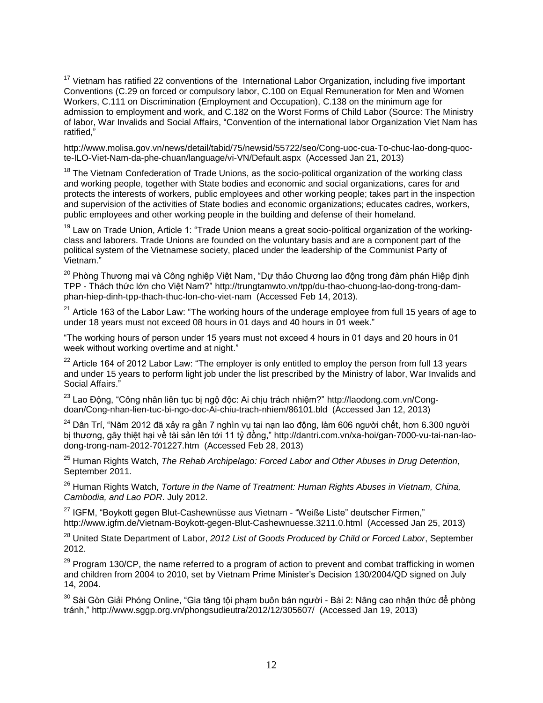$\overline{a}$  $17$  Vietnam has ratified 22 conventions of the International Labor Organization, including five important Conventions (C.29 on forced or compulsory labor, C.100 on Equal Remuneration for Men and Women Workers, C.111 on Discrimination (Employment and Occupation), C.138 on the minimum age for admission to employment and work, and C.182 on the Worst Forms of Child Labor (Source: The Ministry of labor, War Invalids and Social Affairs, "Convention of the international labor Organization Viet Nam has ratified,"

[http://www.molisa.gov.vn/news/detail/tabid/75/newsid/55722/seo/Cong-uoc-cua-To-chuc-lao-dong-quoc](http://www.molisa.gov.vn/news/detail/tabid/75/newsid/55722/seo/Cong-uoc-cua-To-chuc-lao-dong-quoc-te-ILO-Viet-Nam-da-phe-chuan/language/vi-VN/Default.aspx)[te-ILO-Viet-Nam-da-phe-chuan/language/vi-VN/Default.aspx](http://www.molisa.gov.vn/news/detail/tabid/75/newsid/55722/seo/Cong-uoc-cua-To-chuc-lao-dong-quoc-te-ILO-Viet-Nam-da-phe-chuan/language/vi-VN/Default.aspx) (Accessed Jan 21, 2013)

<sup>18</sup> The Vietnam Confederation of Trade Unions, as the socio-political organization of the working class and working people, together with State bodies and economic and social organizations, cares for and protects the interests of workers, public employees and other working people; takes part in the inspection and supervision of the activities of State bodies and economic organizations; educates cadres, workers, public employees and other working people in the building and defense of their homeland.

<sup>19</sup> Law on Trade Union, Article 1: "Trade Union means a great socio-political organization of the workingclass and laborers. Trade Unions are founded on the voluntary basis and are a component part of the political system of the Vietnamese society, placed under the leadership of the Communist Party of Vietnam."

<sup>20</sup> Phòng Thương mại và Công nghiệp Việt Nam, "Dư thảo Chương lao động trong đàm phán Hiệp định TPP - Thách thức lớn cho Việt Nam?" [http://trungtamwto.vn/tpp/du-thao-chuong-lao-dong-trong-dam](http://trungtamwto.vn/tpp/du-thao-chuong-lao-dong-trong-dam-phan-hiep-dinh-tpp-thach-thuc-lon-cho-viet-nam)[phan-hiep-dinh-tpp-thach-thuc-lon-cho-viet-nam](http://trungtamwto.vn/tpp/du-thao-chuong-lao-dong-trong-dam-phan-hiep-dinh-tpp-thach-thuc-lon-cho-viet-nam) (Accessed Feb 14, 2013).

 $21$  Article 163 of the Labor Law: "The working hours of the underage employee from full 15 years of age to under 18 years must not exceed 08 hours in 01 days and 40 hours in 01 week."

"The working hours of person under 15 years must not exceed 4 hours in 01 days and 20 hours in 01 week without working overtime and at night."

 $22$  Article 164 of 2012 Labor Law: "The employer is only entitled to employ the person from full 13 years and under 15 years to perform light job under the list prescribed by the Ministry of labor, War Invalids and Social Affairs.'

<sup>23</sup> Lao Động, "Công nhân liên tục bị ngộ độc: Ai chịu trách nhiệm?" [http://laodong.com.vn/Cong](http://laodong.com.vn/Cong-doan/Cong-nhan-lien-tuc-bi-ngo-doc-Ai-chiu-trach-nhiem/86101.bld)[doan/Cong-nhan-lien-tuc-bi-ngo-doc-Ai-chiu-trach-nhiem/86101.bld](http://laodong.com.vn/Cong-doan/Cong-nhan-lien-tuc-bi-ngo-doc-Ai-chiu-trach-nhiem/86101.bld) (Accessed Jan 12, 2013)

<sup>24</sup> Dân Trí, "Năm 2012 đã xảy ra gần 7 nghìn vụ tai nạn lao động, làm 606 người chết, hơn 6.300 người bị thương, gây thiệt hại về tài sản lên tới 11 tỷ đồng," [http://dantri.com.vn/xa-hoi/gan-7000-vu-tai-nan-lao](http://dantri.com.vn/xa-hoi/gan-7000-vu-tai-nan-lao-dong-trong-nam-2012-701227.htm)[dong-trong-nam-2012-701227.htm](http://dantri.com.vn/xa-hoi/gan-7000-vu-tai-nan-lao-dong-trong-nam-2012-701227.htm) (Accessed Feb 28, 2013)

<sup>25</sup> Human Rights Watch, *The Rehab Archipelago: Forced Labor and Other Abuses in Drug Detention*, September 2011.

<sup>26</sup> Human Rights Watch, *Torture in the Name of Treatment: Human Rights Abuses in Vietnam, China, Cambodia, and Lao PDR*. July 2012.

 $27$  IGFM, "Boykott gegen Blut-Cashewnüsse aus Vietnam - "Weiße Liste" deutscher Firmen," <http://www.igfm.de/Vietnam-Boykott-gegen-Blut-Cashewnuesse.3211.0.html>(Accessed Jan 25, 2013)

<sup>28</sup> United State Department of Labor, *2012 List of Goods Produced by Child or Forced Labor*, September 2012.

 $29$  Program 130/CP, the name referred to a program of action to prevent and combat trafficking in women and children from 2004 to 2010, set by Vietnam Prime Minister's Decision 130/2004/QD signed on July 14, 2004.

<sup>30</sup> Sài Gòn Giải Phóng Online, "Gia tăng tội phạm buôn bán người - Bài 2: Nâng cao nhận thức để phòng tránh,"<http://www.sggp.org.vn/phongsudieutra/2012/12/305607/>(Accessed Jan 19, 2013)